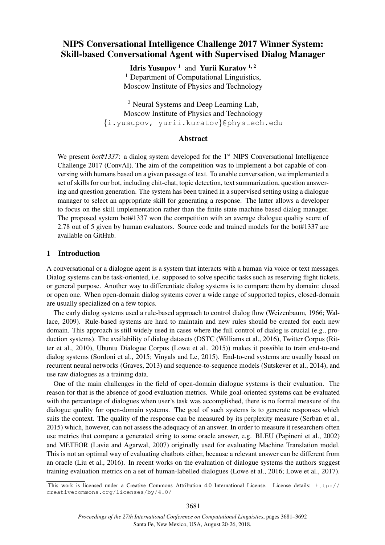# NIPS Conversational Intelligence Challenge 2017 Winner System: Skill-based Conversational Agent with Supervised Dialog Manager

Idris Yusupov<sup>1</sup> and Yurii Kuratov<sup>1,2</sup> <sup>1</sup> Department of Computational Linguistics, Moscow Institute of Physics and Technology

<sup>2</sup> Neural Systems and Deep Learning Lab, Moscow Institute of Physics and Technology {i.yusupov, yurii.kuratov}@phystech.edu

## Abstract

We present *bot#1337*: a dialog system developed for the 1<sup>st</sup> NIPS Conversational Intelligence Challenge 2017 (ConvAI). The aim of the competition was to implement a bot capable of conversing with humans based on a given passage of text. To enable conversation, we implemented a set of skills for our bot, including chit-chat, topic detection, text summarization, question answering and question generation. The system has been trained in a supervised setting using a dialogue manager to select an appropriate skill for generating a response. The latter allows a developer to focus on the skill implementation rather than the finite state machine based dialog manager. The proposed system bot#1337 won the competition with an average dialogue quality score of 2.78 out of 5 given by human evaluators. Source code and trained models for the bot#1337 are available on GitHub.

# 1 Introduction

A conversational or a dialogue agent is a system that interacts with a human via voice or text messages. Dialog systems can be task-oriented, i.e. supposed to solve specific tasks such as reserving flight tickets, or general purpose. Another way to differentiate dialog systems is to compare them by domain: closed or open one. When open-domain dialog systems cover a wide range of supported topics, closed-domain are usually specialized on a few topics.

The early dialog systems used a rule-based approach to control dialog flow (Weizenbaum, 1966; Wallace, 2009). Rule-based systems are hard to maintain and new rules should be created for each new domain. This approach is still widely used in cases where the full control of dialog is crucial (e.g., production systems). The availability of dialog datasets (DSTC (Williams et al., 2016), Twitter Corpus (Ritter et al., 2010), Ubuntu Dialogue Corpus (Lowe et al., 2015)) makes it possible to train end-to-end dialog systems (Sordoni et al., 2015; Vinyals and Le, 2015). End-to-end systems are usually based on recurrent neural networks (Graves, 2013) and sequence-to-sequence models (Sutskever et al., 2014), and use raw dialogues as a training data.

One of the main challenges in the field of open-domain dialogue systems is their evaluation. The reason for that is the absence of good evaluation metrics. While goal-oriented systems can be evaluated with the percentage of dialogues when user's task was accomplished, there is no formal measure of the dialogue quality for open-domain systems. The goal of such systems is to generate responses which suits the context. The quality of the response can be measured by its perplexity measure (Serban et al., 2015) which, however, can not assess the adequacy of an answer. In order to measure it researchers often use metrics that compare a generated string to some oracle answer, e.g. BLEU (Papineni et al., 2002) and METEOR (Lavie and Agarwal, 2007) originally used for evaluating Machine Translation model. This is not an optimal way of evaluating chatbots either, because a relevant answer can be different from an oracle (Liu et al., 2016). In recent works on the evaluation of dialogue systems the authors suggest training evaluation metrics on a set of human-labelled dialogues (Lowe et al., 2016; Lowe et al., 2017).

This work is licensed under a Creative Commons Attribution 4.0 International License. License details: http:// creativecommons.org/licenses/by/4.0/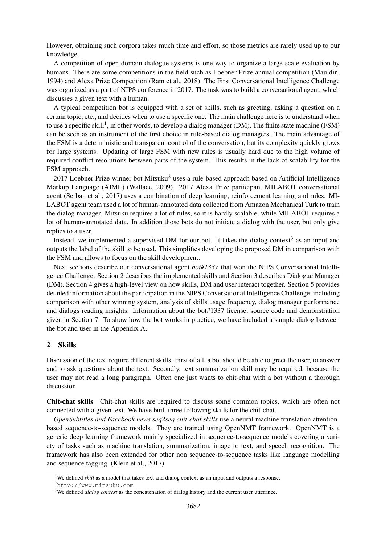However, obtaining such corpora takes much time and effort, so those metrics are rarely used up to our knowledge.

A competition of open-domain dialogue systems is one way to organize a large-scale evaluation by humans. There are some competitions in the field such as Loebner Prize annual competition (Mauldin, 1994) and Alexa Prize Competition (Ram et al., 2018). The First Conversational Intelligence Challenge was organized as a part of NIPS conference in 2017. The task was to build a conversational agent, which discusses a given text with a human.

A typical competition bot is equipped with a set of skills, such as greeting, asking a question on a certain topic, etc., and decides when to use a specific one. The main challenge here is to understand when to use a specific skill<sup>1</sup>, in other words, to develop a dialog manager (DM). The finite state machine (FSM) can be seen as an instrument of the first choice in rule-based dialog managers. The main advantage of the FSM is a deterministic and transparent control of the conversation, but its complexity quickly grows for large systems. Updating of large FSM with new rules is usually hard due to the high volume of required conflict resolutions between parts of the system. This results in the lack of scalability for the FSM approach.

 $2017$  Loebner Prize winner bot Mitsuku<sup>2</sup> uses a rule-based approach based on Artificial Intelligence Markup Language (AIML) (Wallace, 2009). 2017 Alexa Prize participant MILABOT conversational agent (Serban et al., 2017) uses a combination of deep learning, reinforcement learning and rules. MI-LABOT agent team used a lot of human-annotated data collected from Amazon Mechanical Turk to train the dialog manager. Mitsuku requires a lot of rules, so it is hardly scalable, while MILABOT requires a lot of human-annotated data. In addition those bots do not initiate a dialog with the user, but only give replies to a user.

Instead, we implemented a supervised DM for our bot. It takes the dialog context<sup>3</sup> as an input and outputs the label of the skill to be used. This simplifies developing the proposed DM in comparison with the FSM and allows to focus on the skill development.

Next sections describe our conversational agent *bot#1337* that won the NIPS Conversational Intelligence Challenge. Section 2 describes the implemented skills and Section 3 describes Dialogue Manager (DM). Section 4 gives a high-level view on how skills, DM and user interact together. Section 5 provides detailed information about the participation in the NIPS Conversational Intelligence Challenge, including comparison with other winning system, analysis of skills usage frequency, dialog manager performance and dialogs reading insights. Information about the bot#1337 license, source code and demonstration given in Section 7. To show how the bot works in practice, we have included a sample dialog between the bot and user in the Appendix A.

# 2 Skills

Discussion of the text require different skills. First of all, a bot should be able to greet the user, to answer and to ask questions about the text. Secondly, text summarization skill may be required, because the user may not read a long paragraph. Often one just wants to chit-chat with a bot without a thorough discussion.

Chit-chat skills Chit-chat skills are required to discuss some common topics, which are often not connected with a given text. We have built three following skills for the chit-chat.

*OpenSubtitles and Facebook news seq2seq chit-chat skills* use a neural machine translation attentionbased sequence-to-sequence models. They are trained using OpenNMT framework. OpenNMT is a generic deep learning framework mainly specialized in sequence-to-sequence models covering a variety of tasks such as machine translation, summarization, image to text, and speech recognition. The framework has also been extended for other non sequence-to-sequence tasks like language modelling and sequence tagging (Klein et al., 2017).

<sup>&</sup>lt;sup>1</sup>We defined *skill* as a model that takes text and dialog context as an input and outputs a response.

<sup>2</sup>http://www.mitsuku.com

<sup>&</sup>lt;sup>3</sup>We defined *dialog context* as the concatenation of dialog history and the current user utterance.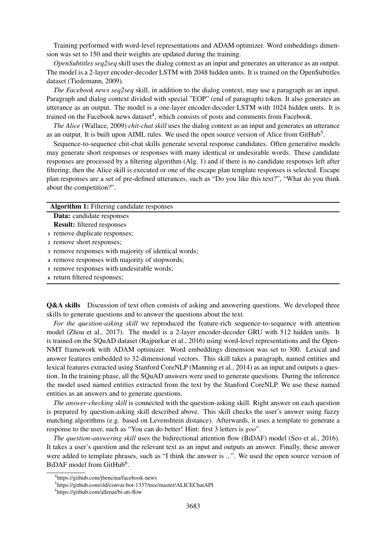Training performed with word-level representations and ADAM optimizer. Word embeddings dimension was set to 150 and their weights are updated during the training.

*OpenSubtitles seq2seq* skill uses the dialog context as an input and generates an utterance as an output. The model is a 2-layer encoder-decoder LSTM with 2048 hidden units. It is trained on the OpenSubtitles dataset (Tiedemann, 2009).

*The Facebook news seq2seq* skill, in addition to the dialog context, may use a paragraph as an input. Paragraph and dialog context divided with special "EOP" (end of paragraph) token. It also generates an utterance as an output. The model is a one-layer encoder-decoder LSTM with 1024 hidden units. It is trained on the Facebook news dataset<sup>4</sup>, which consists of posts and comments from Facebook.

*The Alice* (Wallace, 2009) *chit-chat skill* uses the dialog context as an input and generates an utterance as an output. It is built upon AIML rules. We used the open source version of Alice from GitHub<sup>5</sup>.

Sequence-to-sequence chit-chat skills generate several response candidates. Often generative models may generate short responses or responses with many identical or undesirable words. These candidate responses are processed by a filtering algorithm (Alg. 1) and if there is no candidate responses left after filtering, then the Alice skill is executed or one of the escape plan template responses is selected. Escape plan responses are a set of pre-defined utterances, such as "Do you like this text?", "What do you think about the competition?".

|  |  | <b>Algorithm 1:</b> Filtering candidate responses |
|--|--|---------------------------------------------------|
|--|--|---------------------------------------------------|

Data: candidate responses

- Result: filtered responses
- <sup>1</sup> remove duplicate responses;
- <sup>2</sup> remove short responses;
- <sup>3</sup> remove responses with majority of identical words;
- <sup>4</sup> remove responses with majority of stopwords;
- <sup>5</sup> remove responses with undesirable words;
- <sup>6</sup> return filtered responses;

**Q&A skills** Discussion of text often consists of asking and answering questions. We developed three skills to generate questions and to answer the questions about the text.

*For the question-asking skill* we reproduced the feature-rich sequence-to-sequence with attention model (Zhou et al., 2017). The model is a 2-layer encoder-decoder GRU with 512 hidden units. It is trained on the SQuAD dataset (Rajpurkar et al., 2016) using word-level representations and the Open-NMT framework with ADAM optimizer. Word embeddings dimension was set to 300. Lexical and answer features embedded to 32-dimensional vectors. This skill takes a paragraph, named entities and lexical features extracted using Stanford CoreNLP (Manning et al., 2014) as an input and outputs a question. In the training phase, all the SQuAD answers were used to generate questions. During the inference the model used named entities extracted from the text by the Stanford CoreNLP. We use these named entities as an answers and to generate questions.

*The answer-checking skill* is connected with the question-asking skill. Right answer on each question is prepared by question-asking skill described above. This skill checks the user's answer using fuzzy matching algorithms (e.g. based on Levenshtein distance). Afterwards, it uses a template to generate a response to the user, such as "You can do better! Hint: first 3 letters is *goo*".

*The question-answering skill* uses the bidirectional attention flow (BiDAF) model (Seo et al., 2016). It takes a user's question and the relevant text as an input and outputs an answer. Finally, these answer were added to template phrases, such as "I think the answer is ...". We used the open source version of BiDAF model from GitHub<sup>6</sup>.

<sup>4</sup> https://github.com/jbencina/facebook-news

<sup>5</sup> https://github.com/sld/convai-bot-1337/tree/master/ALICEChatAPI

<sup>6</sup> https://github.com/allenai/bi-att-flow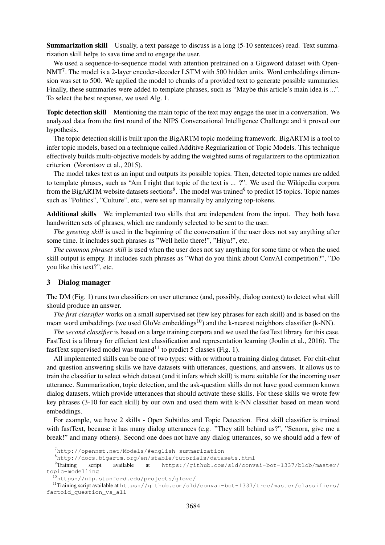Summarization skill Usually, a text passage to discuss is a long (5-10 sentences) read. Text summarization skill helps to save time and to engage the user.

We used a sequence-to-sequence model with attention pretrained on a Gigaword dataset with Open- $NMT<sup>7</sup>$ . The model is a 2-layer encoder-decoder LSTM with 500 hidden units. Word embeddings dimension was set to 500. We applied the model to chunks of a provided text to generate possible summaries. Finally, these summaries were added to template phrases, such as "Maybe this article's main idea is ...". To select the best response, we used Alg. 1.

Topic detection skill Mentioning the main topic of the text may engage the user in a conversation. We analyzed data from the first round of the NIPS Conversational Intelligence Challenge and it proved our hypothesis.

The topic detection skill is built upon the BigARTM topic modeling framework. BigARTM is a tool to infer topic models, based on a technique called Additive Regularization of Topic Models. This technique effectively builds multi-objective models by adding the weighted sums of regularizers to the optimization criterion (Vorontsov et al., 2015).

The model takes text as an input and outputs its possible topics. Then, detected topic names are added to template phrases, such as "Am I right that topic of the text is ... ?". We used the Wikipedia corpora from the BigARTM website datasets sections<sup>8</sup>. The model was trained<sup>9</sup> to predict 15 topics. Topic names such as "Politics", "Culture", etc., were set up manually by analyzing top-tokens.

Additional skills We implemented two skills that are independent from the input. They both have handwritten sets of phrases, which are randomly selected to be sent to the user.

*The greeting skill* is used in the beginning of the conversation if the user does not say anything after some time. It includes such phrases as "Well hello there!", "Hiya!", etc.

*The common phrases skill* is used when the user does not say anything for some time or when the used skill output is empty. It includes such phrases as "What do you think about ConvAI competition?", "Do you like this text?", etc.

#### 3 Dialog manager

The DM (Fig. 1) runs two classifiers on user utterance (and, possibly, dialog context) to detect what skill should produce an answer.

*The first classifier* works on a small supervised set (few key phrases for each skill) and is based on the mean word embeddings (we used GloVe embeddings<sup>10</sup>) and the k-nearest neighbors classifier (k-NN).

*The second classifier* is based on a large training corpora and we used the fastText library for this case. FastText is a library for efficient text classification and representation learning (Joulin et al., 2016). The fastText supervised model was trained<sup>11</sup> to predict 5 classes (Fig. 1).

All implemented skills can be one of two types: with or without a training dialog dataset. For chit-chat and question-answering skills we have datasets with utterances, questions, and answers. It allows us to train the classifier to select which dataset (and it infers which skill) is more suitable for the incoming user utterance. Summarization, topic detection, and the ask-question skills do not have good common known dialog datasets, which provide utterances that should activate these skills. For these skills we wrote few key phrases (3-10 for each skill) by our own and used them with k-NN classifier based on mean word embeddings.

For example, we have 2 skills - Open Subtitles and Topic Detection. First skill classifier is trained with fastText, because it has many dialog utterances (e.g. "They still behind us?", "Senora, give me a break!" and many others). Second one does not have any dialog utterances, so we should add a few of

<sup>7</sup>http://opennmt.net/Models/#english-summarization

<sup>8</sup>http://docs.bigartm.org/en/stable/tutorials/datasets.html script available at https://github.com/sld/convai-bot-1337/blob/master/ topic-modelling

<sup>10</sup>https://nlp.stanford.edu/projects/glove/

<sup>&</sup>lt;sup>11</sup>Training script available at https://github.com/sld/convai-bot-1337/tree/master/classifiers/ factoid\_question\_vs\_all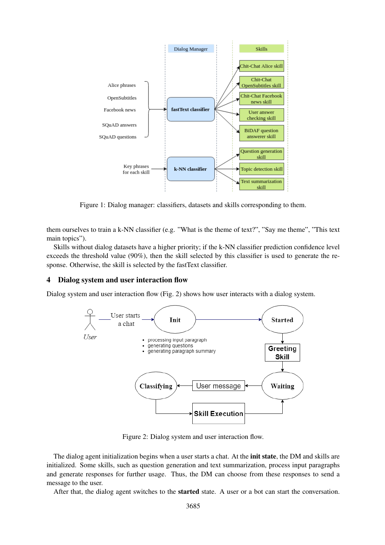

Figure 1: Dialog manager: classifiers, datasets and skills corresponding to them.

them ourselves to train a k-NN classifier (e.g. "What is the theme of text?", "Say me theme", "This text main topics").

Skills without dialog datasets have a higher priority; if the k-NN classifier prediction confidence level exceeds the threshold value (90%), then the skill selected by this classifier is used to generate the response. Otherwise, the skill is selected by the fastText classifier.

#### 4 Dialog system and user interaction flow

Dialog system and user interaction flow (Fig. 2) shows how user interacts with a dialog system.



Figure 2: Dialog system and user interaction flow.

The dialog agent initialization begins when a user starts a chat. At the **init state**, the DM and skills are initialized. Some skills, such as question generation and text summarization, process input paragraphs and generate responses for further usage. Thus, the DM can choose from these responses to send a message to the user.

After that, the dialog agent switches to the started state. A user or a bot can start the conversation.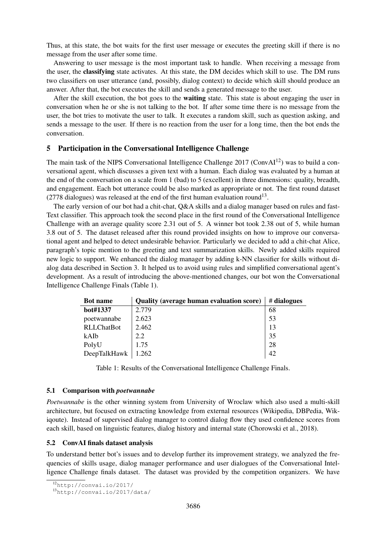Thus, at this state, the bot waits for the first user message or executes the greeting skill if there is no message from the user after some time.

Answering to user message is the most important task to handle. When receiving a message from the user, the classifying state activates. At this state, the DM decides which skill to use. The DM runs two classifiers on user utterance (and, possibly, dialog context) to decide which skill should produce an answer. After that, the bot executes the skill and sends a generated message to the user.

After the skill execution, the bot goes to the **waiting** state. This state is about engaging the user in conversation when he or she is not talking to the bot. If after some time there is no message from the user, the bot tries to motivate the user to talk. It executes a random skill, such as question asking, and sends a message to the user. If there is no reaction from the user for a long time, then the bot ends the conversation.

## 5 Participation in the Conversational Intelligence Challenge

The main task of the NIPS Conversational Intelligence Challenge  $2017$  (Conv $Al^{12}$ ) was to build a conversational agent, which discusses a given text with a human. Each dialog was evaluated by a human at the end of the conversation on a scale from 1 (bad) to 5 (excellent) in three dimensions: quality, breadth, and engagement. Each bot utterance could be also marked as appropriate or not. The first round dataset  $(2778$  dialogues) was released at the end of the first human evaluation round<sup>13</sup>.

The early version of our bot had a chit-chat, Q&A skills and a dialog manager based on rules and fast-Text classifier. This approach took the second place in the first round of the Conversational Intelligence Challenge with an average quality score 2.31 out of 5. A winner bot took 2.38 out of 5, while human 3.8 out of 5. The dataset released after this round provided insights on how to improve our conversational agent and helped to detect undesirable behavior. Particularly we decided to add a chit-chat Alice, paragraph's topic mention to the greeting and text summarization skills. Newly added skills required new logic to support. We enhanced the dialog manager by adding k-NN classifier for skills without dialog data described in Section 3. It helped us to avoid using rules and simplified conversational agent's development. As a result of introducing the above-mentioned changes, our bot won the Conversational Intelligence Challenge Finals (Table 1).

| <b>Bot name</b>   | <b>Quality (average human evaluation score)</b> | # dialogues |
|-------------------|-------------------------------------------------|-------------|
| bot#1337          | 2.779                                           | 68          |
| poetwannabe       | 2.623                                           | 53          |
| <b>RLLChatBot</b> | 2.462                                           | 13          |
| kAIb              | 2.2                                             | 35          |
| PolyU             | 1.75                                            | 28          |
| DeepTalkHawk      | 1.262                                           | 42          |

Table 1: Results of the Conversational Intelligence Challenge Finals.

#### 5.1 Comparison with *poetwannabe*

*Poetwannabe* is the other winning system from University of Wroclaw which also used a multi-skill architecture, but focused on extracting knowledge from external resources (Wikipedia, DBPedia, Wikiqoute). Instead of supervised dialog manager to control dialog flow they used confidence scores from each skill, based on linguistic features, dialog history and internal state (Chorowski et al., 2018).

## 5.2 ConvAI finals dataset analysis

To understand better bot's issues and to develop further its improvement strategy, we analyzed the frequencies of skills usage, dialog manager performance and user dialogues of the Conversational Intelligence Challenge finals dataset. The dataset was provided by the competition organizers. We have

 $\overline{^{12}$ http://convai.io/2017/

<sup>13</sup>http://convai.io/2017/data/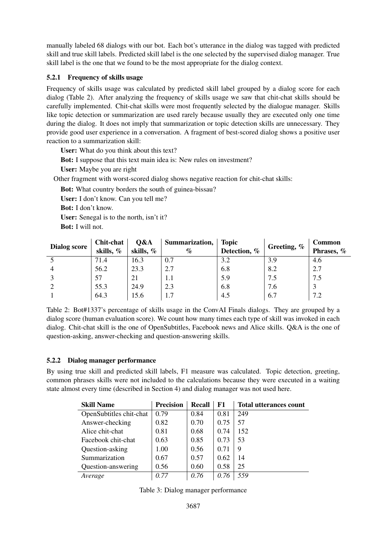manually labeled 68 dialogs with our bot. Each bot's utterance in the dialog was tagged with predicted skill and true skill labels. Predicted skill label is the one selected by the supervised dialog manager. True skill label is the one that we found to be the most appropriate for the dialog context.

# 5.2.1 Frequency of skills usage

Frequency of skills usage was calculated by predicted skill label grouped by a dialog score for each dialog (Table 2). After analyzing the frequency of skills usage we saw that chit-chat skills should be carefully implemented. Chit-chat skills were most frequently selected by the dialogue manager. Skills like topic detection or summarization are used rarely because usually they are executed only one time during the dialog. It does not imply that summarization or topic detection skills are unnecessary. They provide good user experience in a conversation. A fragment of best-scored dialog shows a positive user reaction to a summarization skill:

User: What do you think about this text?

- Bot: I suppose that this text main idea is: New rules on investment?
- User: Maybe you are right

Other fragment with worst-scored dialog shows negative reaction for chit-chat skills:

Bot: What country borders the south of guinea-bissau?

User: I don't know. Can you tell me?

Bot: I don't know.

User: Senegal is to the north, isn't it?

Bot: I will not.

| <b>Dialog score</b> | Chit-chat<br>skills, % | Q&A<br>skills, % | Summarization,<br>$\%$ | <b>Topic</b><br>Detection, % | Greeting, $%$ | Common<br>Phrases, % |
|---------------------|------------------------|------------------|------------------------|------------------------------|---------------|----------------------|
|                     |                        |                  |                        |                              |               |                      |
|                     | 71.4                   | 16.3             | 0.7                    | 3.2                          | 3.9           | 4.6                  |
|                     | 56.2                   | 23.3             | 2.7                    | 6.8                          | 8.2           | 2.7                  |
|                     | 57                     | 21               | 1.1                    | 5.9                          | 7.5           | 7.5                  |
|                     | 55.3                   | 24.9             | 2.3                    | 6.8                          | 7.6           |                      |
|                     | 64.3                   | 15.6             |                        | 4.5                          | 6.7           | 7.2                  |

Table 2: Bot#1337's percentage of skills usage in the ConvAI Finals dialogs. They are grouped by a dialog score (human evaluation score). We count how many times each type of skill was invoked in each dialog. Chit-chat skill is the one of OpenSubtitles, Facebook news and Alice skills. Q&A is the one of question-asking, answer-checking and question-answering skills.

# 5.2.2 Dialog manager performance

By using true skill and predicted skill labels, F1 measure was calculated. Topic detection, greeting, common phrases skills were not included to the calculations because they were executed in a waiting state almost every time (described in Section 4) and dialog manager was not used here.

| <b>Skill Name</b>       | <b>Precision</b> | Recall | F1   | <b>Total utterances count</b> |
|-------------------------|------------------|--------|------|-------------------------------|
| OpenSubtitles chit-chat | 0.79             | 0.84   | 0.81 | 249                           |
| Answer-checking         | 0.82             | 0.70   | 0.75 | 57                            |
| Alice chit-chat         | 0.81             | 0.68   | 0.74 | 152                           |
| Facebook chit-chat      | 0.63             | 0.85   | 0.73 | 53                            |
| Question-asking         | 1.00             | 0.56   | 0.71 | 9                             |
| Summarization           | 0.67             | 0.57   | 0.62 | 14                            |
| Question-answering      | 0.56             | 0.60   | 0.58 | 25                            |
| Average                 | 0.77             | 0.76   | 0.76 | 559                           |

| Table 3: Dialog manager performance |  |  |
|-------------------------------------|--|--|
|-------------------------------------|--|--|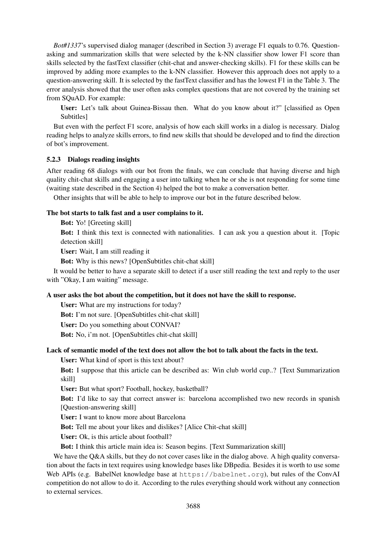*Bot#1337*'s supervised dialog manager (described in Section 3) average F1 equals to 0.76. Questionasking and summarization skills that were selected by the k-NN classifier show lower F1 score than skills selected by the fastText classifier (chit-chat and answer-checking skills). F1 for these skills can be improved by adding more examples to the k-NN classifier. However this approach does not apply to a question-answering skill. It is selected by the fastText classifier and has the lowest F1 in the Table 3. The error analysis showed that the user often asks complex questions that are not covered by the training set from SQuAD. For example:

User: Let's talk about Guinea-Bissau then. What do you know about it?" [classified as Open Subtitles]

But even with the perfect F1 score, analysis of how each skill works in a dialog is necessary. Dialog reading helps to analyze skills errors, to find new skills that should be developed and to find the direction of bot's improvement.

## 5.2.3 Dialogs reading insights

After reading 68 dialogs with our bot from the finals, we can conclude that having diverse and high quality chit-chat skills and engaging a user into talking when he or she is not responding for some time (waiting state described in the Section 4) helped the bot to make a conversation better.

Other insights that will be able to help to improve our bot in the future described below.

## The bot starts to talk fast and a user complains to it.

Bot: Yo! [Greeting skill]

Bot: I think this text is connected with nationalities. I can ask you a question about it. [Topic detection skill]

User: Wait, I am still reading it

Bot: Why is this news? [OpenSubtitles chit-chat skill]

It would be better to have a separate skill to detect if a user still reading the text and reply to the user with "Okay, I am waiting" message.

#### A user asks the bot about the competition, but it does not have the skill to response.

User: What are my instructions for today?

Bot: I'm not sure. [OpenSubtitles chit-chat skill]

User: Do you something about CONVAI?

Bot: No, i'm not. [OpenSubtitles chit-chat skill]

#### Lack of semantic model of the text does not allow the bot to talk about the facts in the text.

User: What kind of sport is this text about?

Bot: I suppose that this article can be described as: Win club world cup..? [Text Summarization skill]

User: But what sport? Football, hockey, basketball?

Bot: I'd like to say that correct answer is: barcelona accomplished two new records in spanish [Question-answering skill]

User: I want to know more about Barcelona

Bot: Tell me about your likes and dislikes? [Alice Chit-chat skill]

User: Ok, is this article about football?

Bot: I think this article main idea is: Season begins. [Text Summarization skill]

We have the Q&A skills, but they do not cover cases like in the dialog above. A high quality conversation about the facts in text requires using knowledge bases like DBpedia. Besides it is worth to use some Web APIs (e.g. BabelNet knowledge base at https://babelnet.org), but rules of the ConvAI competition do not allow to do it. According to the rules everything should work without any connection to external services.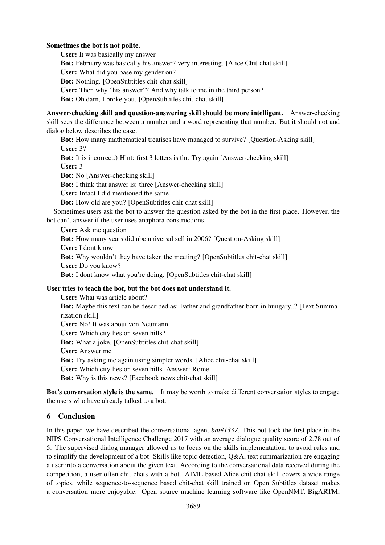## Sometimes the bot is not polite.

User: It was basically my answer Bot: February was basically his answer? very interesting. [Alice Chit-chat skill] User: What did you base my gender on? Bot: Nothing. [OpenSubtitles chit-chat skill] User: Then why "his answer"? And why talk to me in the third person? Bot: Oh darn, I broke you. [OpenSubtitles chit-chat skill]

Answer-checking skill and question-answering skill should be more intelligent. Answer-checking skill sees the difference between a number and a word representing that number. But it should not and dialog below describes the case:

Bot: How many mathematical treatises have managed to survive? [Question-Asking skill] User: 3?

Bot: It is incorrect:) Hint: first 3 letters is thr. Try again [Answer-checking skill]

User: 3

Bot: No [Answer-checking skill]

Bot: I think that answer is: three [Answer-checking skill]

User: Infact I did mentioned the same

Bot: How old are you? [OpenSubtitles chit-chat skill]

Sometimes users ask the bot to answer the question asked by the bot in the first place. However, the bot can't answer if the user uses anaphora constructions.

User: Ask me question

Bot: How many years did nbc universal sell in 2006? [Question-Asking skill]

User: I dont know

Bot: Why wouldn't they have taken the meeting? [OpenSubtitles chit-chat skill] User: Do you know?

Bot: I dont know what you're doing. [OpenSubtitles chit-chat skill]

# User tries to teach the bot, but the bot does not understand it.

User: What was article about? Bot: Maybe this text can be described as: Father and grandfather born in hungary..? [Text Summarization skill] User: No! It was about von Neumann User: Which city lies on seven hills? Bot: What a joke. [OpenSubtitles chit-chat skill] User: Answer me Bot: Try asking me again using simpler words. [Alice chit-chat skill] User: Which city lies on seven hills. Answer: Rome. Bot: Why is this news? [Facebook news chit-chat skill]

Bot's conversation style is the same. It may be worth to make different conversation styles to engage the users who have already talked to a bot.

# 6 Conclusion

In this paper, we have described the conversational agent *bot#1337*. This bot took the first place in the NIPS Conversational Intelligence Challenge 2017 with an average dialogue quality score of 2.78 out of 5. The supervised dialog manager allowed us to focus on the skills implementation, to avoid rules and to simplify the development of a bot. Skills like topic detection, Q&A, text summarization are engaging a user into a conversation about the given text. According to the conversational data received during the competition, a user often chit-chats with a bot. AIML-based Alice chit-chat skill covers a wide range of topics, while sequence-to-sequence based chit-chat skill trained on Open Subtitles dataset makes a conversation more enjoyable. Open source machine learning software like OpenNMT, BigARTM,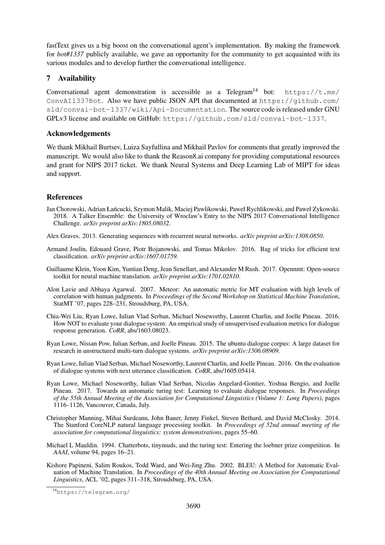fastText gives us a big boost on the conversational agent's implementation. By making the framework for *bot#1337* publicly available, we gave an opportunity for the community to get acquainted with its various modules and to develop further the conversational intelligence.

# 7 Availability

Conversational agent demonstration is accessible as a Telegram<sup>14</sup> bot: https://t.me/ ConvAI1337Bot. Also we have public JSON API that documented at https://github.com/ sld/convai-bot-1337/wiki/Api-Documentation. The source code is released under GNU GPLv3 license and available on GitHub: https://github.com/sld/convai-bot-1337.

# Acknowledgements

We thank Mikhail Burtsev, Luiza Sayfullina and Mikhail Pavlov for comments that greatly improved the manuscript. We would also like to thank the Reason8.ai company for providing computational resources and grant for NIPS 2017 ticket. We thank Neural Systems and Deep Learning Lab of MIPT for ideas and support.

# References

- Jan Chorowski, Adrian Łańcucki, Szymon Malik, Maciej Pawlikowski, Paweł Rychlikowski, and Paweł Zykowski. 2018. A Talker Ensemble: the University of Wroclaw's Entry to the NIPS 2017 Conversational Intelligence Challenge. *arXiv preprint arXiv:1805.08032*.
- Alex Graves. 2013. Generating sequences with recurrent neural networks. *arXiv preprint arXiv:1308.0850*.
- Armand Joulin, Edouard Grave, Piotr Bojanowski, and Tomas Mikolov. 2016. Bag of tricks for efficient text classification. *arXiv preprint arXiv:1607.01759*.
- Guillaume Klein, Yoon Kim, Yuntian Deng, Jean Senellart, and Alexander M Rush. 2017. Opennmt: Open-source toolkit for neural machine translation. *arXiv preprint arXiv:1701.02810*.
- Alon Lavie and Abhaya Agarwal. 2007. Meteor: An automatic metric for MT evaluation with high levels of correlation with human judgments. In *Proceedings of the Second Workshop on Statistical Machine Translation*, StatMT '07, pages 228–231, Stroudsburg, PA, USA.
- Chia-Wei Liu, Ryan Lowe, Iulian Vlad Serban, Michael Noseworthy, Laurent Charlin, and Joelle Pineau. 2016. How NOT to evaluate your dialogue system: An empirical study of unsupervised evaluation metrics for dialogue response generation. *CoRR*, abs/1603.08023.
- Ryan Lowe, Nissan Pow, Iulian Serban, and Joelle Pineau. 2015. The ubuntu dialogue corpus: A large dataset for research in unstructured multi-turn dialogue systems. *arXiv preprint arXiv:1506.08909*.
- Ryan Lowe, Iulian Vlad Serban, Michael Noseworthy, Laurent Charlin, and Joelle Pineau. 2016. On the evaluation of dialogue systems with next utterance classification. *CoRR*, abs/1605.05414.
- Ryan Lowe, Michael Noseworthy, Iulian Vlad Serban, Nicolas Angelard-Gontier, Yoshua Bengio, and Joelle Pineau. 2017. Towards an automatic turing test: Learning to evaluate dialogue responses. In *Proceedings of the 55th Annual Meeting of the Association for Computational Linguistics (Volume 1: Long Papers)*, pages 1116–1126, Vancouver, Canada, July.
- Christopher Manning, Mihai Surdeanu, John Bauer, Jenny Finkel, Steven Bethard, and David McClosky. 2014. The Stanford CoreNLP natural language processing toolkit. In *Proceedings of 52nd annual meeting of the association for computational linguistics: system demonstrations*, pages 55–60.
- Michael L Mauldin. 1994. Chatterbots, tinymuds, and the turing test: Entering the loebner prize competition. In *AAAI*, volume 94, pages 16–21.
- Kishore Papineni, Salim Roukos, Todd Ward, and Wei-Jing Zhu. 2002. BLEU: A Method for Automatic Evaluation of Machine Translation. In *Proceedings of the 40th Annual Meeting on Association for Computational Linguistics*, ACL '02, pages 311–318, Stroudsburg, PA, USA.

<sup>14</sup>https://telegram.org/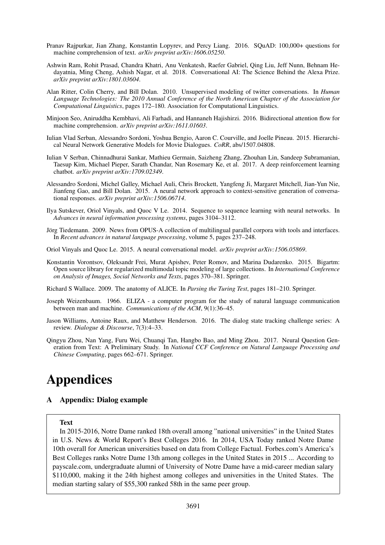- Pranav Rajpurkar, Jian Zhang, Konstantin Lopyrev, and Percy Liang. 2016. SQuAD: 100,000+ questions for machine comprehension of text. *arXiv preprint arXiv:1606.05250*.
- Ashwin Ram, Rohit Prasad, Chandra Khatri, Anu Venkatesh, Raefer Gabriel, Qing Liu, Jeff Nunn, Behnam Hedayatnia, Ming Cheng, Ashish Nagar, et al. 2018. Conversational AI: The Science Behind the Alexa Prize. *arXiv preprint arXiv:1801.03604*.
- Alan Ritter, Colin Cherry, and Bill Dolan. 2010. Unsupervised modeling of twitter conversations. In *Human Language Technologies: The 2010 Annual Conference of the North American Chapter of the Association for Computational Linguistics*, pages 172–180. Association for Computational Linguistics.
- Minjoon Seo, Aniruddha Kembhavi, Ali Farhadi, and Hannaneh Hajishirzi. 2016. Bidirectional attention flow for machine comprehension. *arXiv preprint arXiv:1611.01603*.
- Iulian Vlad Serban, Alessandro Sordoni, Yoshua Bengio, Aaron C. Courville, and Joelle Pineau. 2015. Hierarchical Neural Network Generative Models for Movie Dialogues. *CoRR*, abs/1507.04808.
- Iulian V Serban, Chinnadhurai Sankar, Mathieu Germain, Saizheng Zhang, Zhouhan Lin, Sandeep Subramanian, Taesup Kim, Michael Pieper, Sarath Chandar, Nan Rosemary Ke, et al. 2017. A deep reinforcement learning chatbot. *arXiv preprint arXiv:1709.02349*.
- Alessandro Sordoni, Michel Galley, Michael Auli, Chris Brockett, Yangfeng Ji, Margaret Mitchell, Jian-Yun Nie, Jianfeng Gao, and Bill Dolan. 2015. A neural network approach to context-sensitive generation of conversational responses. *arXiv preprint arXiv:1506.06714*.
- Ilya Sutskever, Oriol Vinyals, and Quoc V Le. 2014. Sequence to sequence learning with neural networks. In *Advances in neural information processing systems*, pages 3104–3112.
- Jörg Tiedemann. 2009. News from OPUS-A collection of multilingual parallel corpora with tools and interfaces. In *Recent advances in natural language processing*, volume 5, pages 237–248.
- Oriol Vinyals and Quoc Le. 2015. A neural conversational model. *arXiv preprint arXiv:1506.05869*.
- Konstantin Vorontsov, Oleksandr Frei, Murat Apishev, Peter Romov, and Marina Dudarenko. 2015. Bigartm: Open source library for regularized multimodal topic modeling of large collections. In *International Conference on Analysis of Images, Social Networks and Texts*, pages 370–381. Springer.
- Richard S Wallace. 2009. The anatomy of ALICE. In *Parsing the Turing Test*, pages 181–210. Springer.
- Joseph Weizenbaum. 1966. ELIZA a computer program for the study of natural language communication between man and machine. *Communications of the ACM*, 9(1):36–45.
- Jason Williams, Antoine Raux, and Matthew Henderson. 2016. The dialog state tracking challenge series: A review. *Dialogue & Discourse*, 7(3):4–33.
- Qingyu Zhou, Nan Yang, Furu Wei, Chuanqi Tan, Hangbo Bao, and Ming Zhou. 2017. Neural Question Generation from Text: A Preliminary Study. In *National CCF Conference on Natural Language Processing and Chinese Computing*, pages 662–671. Springer.

# Appendices

# A Appendix: Dialog example

#### Text

In 2015-2016, Notre Dame ranked 18th overall among "national universities" in the United States in U.S. News & World Report's Best Colleges 2016. In 2014, USA Today ranked Notre Dame 10th overall for American universities based on data from College Factual. Forbes.com's America's Best Colleges ranks Notre Dame 13th among colleges in the United States in 2015 ... According to payscale.com, undergraduate alumni of University of Notre Dame have a mid-career median salary \$110,000, making it the 24th highest among colleges and universities in the United States. The median starting salary of \$55,300 ranked 58th in the same peer group.